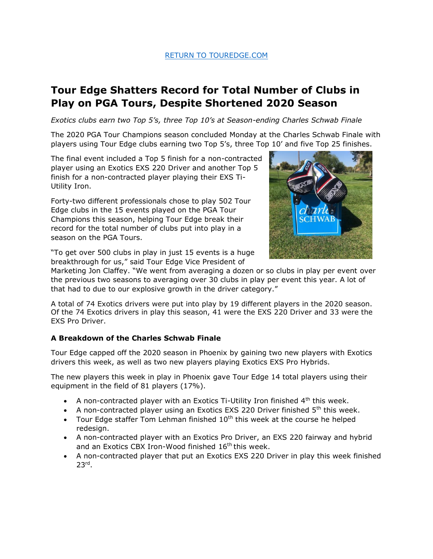## [RETURN TO TOUREDGE.COM](https://www.touredge.com/)

## **Tour Edge Shatters Record for Total Number of Clubs in Play on PGA Tours, Despite Shortened 2020 Season**

*Exotics clubs earn two Top 5's, three Top 10's at Season-ending Charles Schwab Finale* 

The 2020 PGA Tour Champions season concluded Monday at the Charles Schwab Finale with players using Tour Edge clubs earning two Top 5's, three Top 10' and five Top 25 finishes.

The final event included a Top 5 finish for a non-contracted player using an Exotics EXS 220 Driver and another Top 5 finish for a non-contracted player playing their EXS Ti-Utility Iron.

Forty-two different professionals chose to play 502 Tour Edge clubs in the 15 events played on the PGA Tour Champions this season, helping Tour Edge break their record for the total number of clubs put into play in a season on the PGA Tours.



"To get over 500 clubs in play in just 15 events is a huge breakthrough for us," said Tour Edge Vice President of

Marketing Jon Claffey. "We went from averaging a dozen or so clubs in play per event over the previous two seasons to averaging over 30 clubs in play per event this year. A lot of that had to due to our explosive growth in the driver category."

A total of 74 Exotics drivers were put into play by 19 different players in the 2020 season. Of the 74 Exotics drivers in play this season, 41 were the EXS 220 Driver and 33 were the EXS Pro Driver.

## **A Breakdown of the Charles Schwab Finale**

Tour Edge capped off the 2020 season in Phoenix by gaining two new players with Exotics drivers this week, as well as two new players playing Exotics EXS Pro Hybrids.

The new players this week in play in Phoenix gave Tour Edge 14 total players using their equipment in the field of 81 players (17%).

- A non-contracted player with an Exotics Ti-Utility Iron finished  $4<sup>th</sup>$  this week.
- A non-contracted player using an Exotics EXS 220 Driver finished  $5<sup>th</sup>$  this week.
- Tour Edge staffer Tom Lehman finished  $10<sup>th</sup>$  this week at the course he helped redesign.
- A non-contracted player with an Exotics Pro Driver, an EXS 220 fairway and hybrid and an Exotics CBX Iron-Wood finished 16<sup>th</sup> this week.
- A non-contracted player that put an Exotics EXS 220 Driver in play this week finished 23rd .